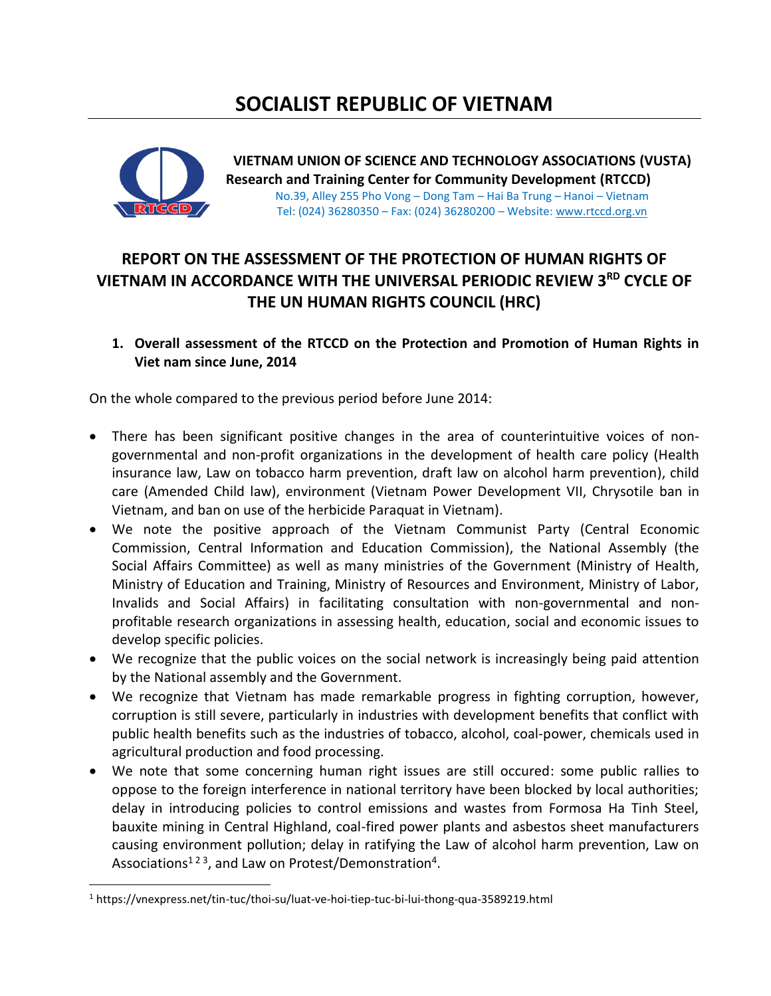# **SOCIALIST REPUBLIC OF VIETNAM**



 $\overline{\phantom{a}}$ 

**VIETNAM UNION OF SCIENCE AND TECHNOLOGY ASSOCIATIONS (VUSTA) Research and Training Center for Community Development (RTCCD)**  No.39, Alley 255 Pho Vong – Dong Tam – Hai Ba Trung – Hanoi – Vietnam Tel: (024) 36280350 – Fax: (024) 36280200 – Website[: www.rtccd.org.vn](http://www.rtccd.org.vn/)

## **REPORT ON THE ASSESSMENT OF THE PROTECTION OF HUMAN RIGHTS OF VIETNAM IN ACCORDANCE WITH THE UNIVERSAL PERIODIC REVIEW 3RD CYCLE OF THE UN HUMAN RIGHTS COUNCIL (HRC)**

### **1. Overall assessment of the RTCCD on the Protection and Promotion of Human Rights in Viet nam since June, 2014**

On the whole compared to the previous period before June 2014:

- There has been significant positive changes in the area of counterintuitive voices of nongovernmental and non-profit organizations in the development of health care policy (Health insurance law, Law on tobacco harm prevention, draft law on alcohol harm prevention), child care (Amended Child law), environment (Vietnam Power Development VII, Chrysotile ban in Vietnam, and ban on use of the herbicide Paraquat in Vietnam).
- We note the positive approach of the Vietnam Communist Party (Central Economic Commission, Central Information and Education Commission), the National Assembly (the Social Affairs Committee) as well as many ministries of the Government (Ministry of Health, Ministry of Education and Training, Ministry of Resources and Environment, Ministry of Labor, Invalids and Social Affairs) in facilitating consultation with non-governmental and nonprofitable research organizations in assessing health, education, social and economic issues to develop specific policies.
- We recognize that the public voices on the social network is increasingly being paid attention by the National assembly and the Government.
- We recognize that Vietnam has made remarkable progress in fighting corruption, however, corruption is still severe, particularly in industries with development benefits that conflict with public health benefits such as the industries of tobacco, alcohol, coal-power, chemicals used in agricultural production and food processing.
- We note that some concerning human right issues are still occured: some public rallies to oppose to the foreign interference in national territory have been blocked by local authorities; delay in introducing policies to control emissions and wastes from Formosa Ha Tinh Steel, bauxite mining in Central Highland, coal-fired power plants and asbestos sheet manufacturers causing environment pollution; delay in ratifying the Law of alcohol harm prevention, Law on Associations<sup>123</sup>, and Law on Protest/Demonstration<sup>4</sup>.

<sup>1</sup> <https://vnexpress.net/tin-tuc/thoi-su/luat-ve-hoi-tiep-tuc-bi-lui-thong-qua-3589219.html>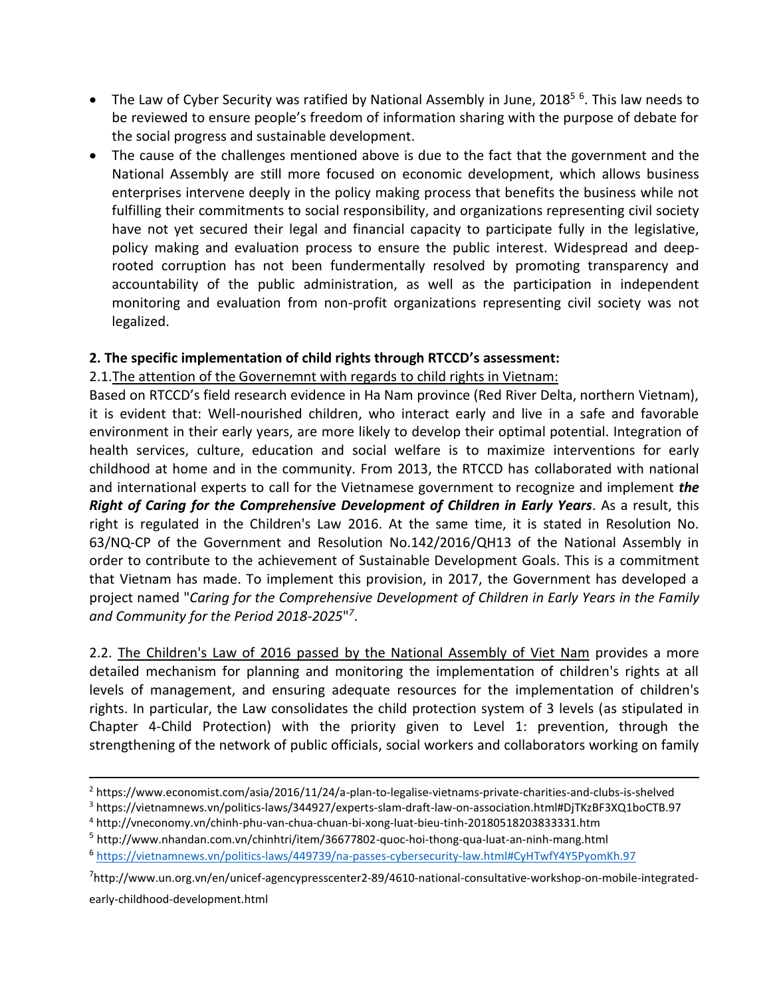- The Law of Cyber Security was ratified by National Assembly in June, 2018<sup>56</sup>. This law needs to be reviewed to ensure people's freedom of information sharing with the purpose of debate for the social progress and sustainable development.
- The cause of the challenges mentioned above is due to the fact that the government and the National Assembly are still more focused on economic development, which allows business enterprises intervene deeply in the policy making process that benefits the business while not fulfilling their commitments to social responsibility, and organizations representing civil society have not yet secured their legal and financial capacity to participate fully in the legislative, policy making and evaluation process to ensure the public interest. Widespread and deeprooted corruption has not been fundermentally resolved by promoting transparency and accountability of the public administration, as well as the participation in independent monitoring and evaluation from non-profit organizations representing civil society was not legalized.

### **2. The specific implementation of child rights through RTCCD's assessment:**

#### 2.1.The attention of the Governemnt with regards to child rights in Vietnam:

Based on RTCCD's field research evidence in Ha Nam province (Red River Delta, northern Vietnam), it is evident that: Well-nourished children, who interact early and live in a safe and favorable environment in their early years, are more likely to develop their optimal potential. Integration of health services, culture, education and social welfare is to maximize interventions for early childhood at home and in the community. From 2013, the RTCCD has collaborated with national and international experts to call for the Vietnamese government to recognize and implement *the Right of Caring for the Comprehensive Development of Children in Early Years*. As a result, this right is regulated in the Children's Law 2016. At the same time, it is stated in Resolution No. 63/NQ-CP of the Government and Resolution No.142/2016/QH13 of the National Assembly in order to contribute to the achievement of Sustainable Development Goals. This is a commitment that Vietnam has made. To implement this provision, in 2017, the Government has developed a project named "*Caring for the Comprehensive Development of Children in Early Years in the Family and Community for the Period 2018-2025*" *7* .

2.2. The Children's Law of 2016 passed by the National Assembly of Viet Nam provides a more detailed mechanism for planning and monitoring the implementation of children's rights at all levels of management, and ensuring adequate resources for the implementation of children's rights. In particular, the Law consolidates the child protection system of 3 levels (as stipulated in Chapter 4-Child Protection) with the priority given to Level 1: prevention, through the strengthening of the network of public officials, social workers and collaborators working on family

early-childhood-development.html

 $\overline{\phantom{a}}$ 

<sup>2</sup> <https://www.economist.com/asia/2016/11/24/a-plan-to-legalise-vietnams-private-charities-and-clubs-is-shelved>

<sup>3</sup> <https://vietnamnews.vn/politics-laws/344927/experts-slam-draft-law-on-association.html#DjTKzBF3XQ1boCTB.97>

<sup>4</sup> <http://vneconomy.vn/chinh-phu-van-chua-chuan-bi-xong-luat-bieu-tinh-20180518203833331.htm>

<sup>&</sup>lt;sup>5</sup> <http://www.nhandan.com.vn/chinhtri/item/36677802-quoc-hoi-thong-qua-luat-an-ninh-mang.html>

<sup>6</sup> <https://vietnamnews.vn/politics-laws/449739/na-passes-cybersecurity-law.html#CyHTwfY4Y5PyomKh.97>

<sup>7</sup> http://www.un.org.vn/en/unicef-agencypresscenter2-89/4610-national-consultative-workshop-on-mobile-integrated-